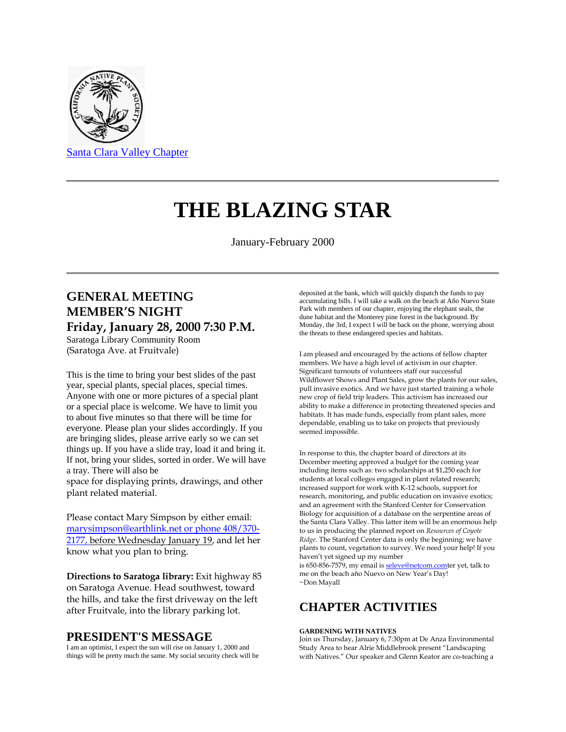

# **THE BLAZING STAR**

January-February 2000

## **GENERAL MEETING MEMBER'S NIGHT Friday, January 28, 2000 7:30 P.M.**

Saratoga Library Community Room (Saratoga Ave. at Fruitvale)

This is the time to bring your best slides of the past year, special plants, special places, special times. Anyone with one or more pictures of a special plant or a special place is welcome. We have to limit you to about five minutes so that there will be time for everyone. Please plan your slides accordingly. If you are bringing slides, please arrive early so we can set things up. If you have a slide tray, load it and bring it. If not, bring your slides, sorted in order. We will have a tray. There will also be

space for displaying prints, drawings, and other plant related material.

Please contact Mary Simpson by either email: [marysimpson@earthlink.net or phone 408/370-](mailto:marysimpson@earthlink.net%20or%20phone%20408/370-2177,) [2177, b](mailto:marysimpson@earthlink.net%20or%20phone%20408/370-2177,)efore Wednesday January 19, and let her know what you plan to bring.

**Directions to Saratoga library:** Exit highway 85 on Saratoga Avenue. Head southwest, toward the hills, and take the first driveway on the left after Fruitvale, into the library parking lot.

### **PRESIDENT'S MESSAGE**

I am an optimist, I expect the sun will rise on January 1, 2000 and things will be pretty much the same. My social security check will be deposited at the bank, which will quickly dispatch the funds to pay accumulating bills. I will take a walk on the beach at Año Nuevo State Park with members of our chapter, enjoying the elephant seals, the dune habitat and the Monterey pine forest in the background. By Monday, the 3rd, I expect I will be back on the phone, worrying about the threats to these endangered species and habitats.

I am pleased and encouraged by the actions of fellow chapter members. We have a high level of activism in our chapter. Significant turnouts of volunteers staff our successful Wildflower Shows and Plant Sales, grow the plants for our sales, pull invasive exotics. And we have just started training a whole new crop of field trip leaders. This activism has increased our ability to make a difference in protecting threatened species and habitats. It has made funds, especially from plant sales, more dependable, enabling us to take on projects that previously seemed impossible.

In response to this, the chapter board of directors at its December meeting approved a budget for the coming year including items such as: two scholarships at \$1,250 each for students at local colleges engaged in plant related research; increased support for work with K-12 schools, support for research, monitoring, and public education on invasive exotics; and an agreement with the Stanford Center for Conservation Biology for acquisition of a database on the serpentine areas of the Santa Clara Valley. This latter item will be an enormous help to us in producing the planned report on *Resources of Coyote Ridge.* The Stanford Center data is only the beginning; we have plants to count, vegetation to survey. We need your help! If you haven't yet signed up my number

is 650-856-7579, my email i[s seleve@netcom.comt](mailto:seleve@netcom.com)er yet, talk to me on the beach año Nuevo on New Year's Day! ~Don Mayall

### **CHAPTER ACTIVITIES**

#### **GARDENING WITH NATIVES**

Join us Thursday, January 6, 7:30pm at De Anza Environmental Study Area to hear Alrie Middlebrook present "Landscaping with Natives." Our speaker and Glenn Keator are co-teaching a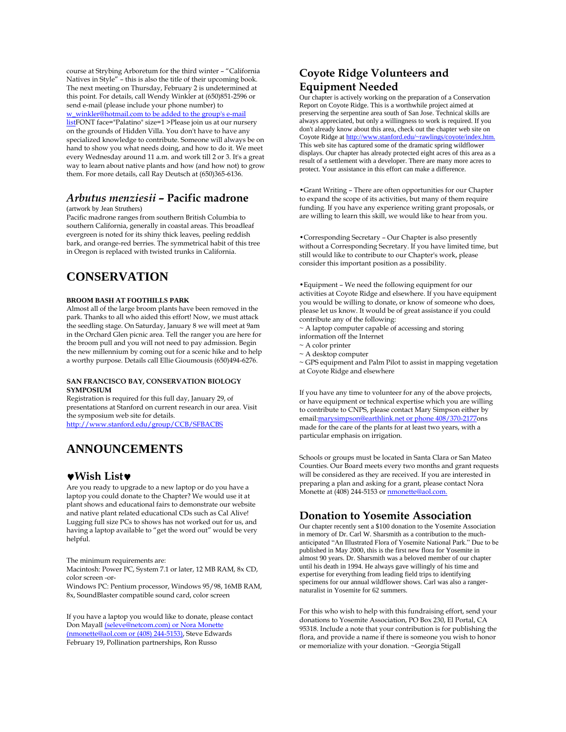course at Strybing Arboretum for the third winter – "California Natives in Style" – this is also the title of their upcoming book. The next meeting on Thursday, February 2 is undetermined at this point. For details, call Wendy Winkler at (650)851-2596 or send e-mail (please include your phone number) to

[w\\_winkler@hotmail.com to be added to the group's e-mail](mailto:w_winkler@hotmail.com%20to%20be%20added%20to%20the%20group)  [listF](mailto:w_winkler@hotmail.com%20to%20be%20added%20to%20the%20group)ONT face="Palatino" size=1 >Please join us at our nursery on the grounds of Hidden Villa. You don't have to have any specialized knowledge to contribute. Someone will always be on hand to show you what needs doing, and how to do it. We meet every Wednesday around 11 a.m. and work till 2 or 3. It's a great way to learn about native plants and how (and how not) to grow them. For more details, call Ray Deutsch at (650)365-6136.

### *Arbutus menziesii –* **Pacific madrone**

### (artwork by Jean Struthers)

Pacific madrone ranges from southern British Columbia to southern California, generally in coastal areas. This broadleaf evergreen is noted for its shiny thick leaves, peeling reddish bark, and orange-red berries. The symmetrical habit of this tree in Oregon is replaced with twisted trunks in California.

### **CONSERVATION**

#### **BROOM BASH AT FOOTHILLS PARK**

Almost all of the large broom plants have been removed in the park. Thanks to all who aided this effort! Now, we must attack the seedling stage. On Saturday, January 8 we will meet at 9am in the Orchard Glen picnic area. Tell the ranger you are here for the broom pull and you will not need to pay admission. Begin the new millennium by coming out for a scenic hike and to help a worthy purpose. Details call Ellie Gioumousis (650)494-6276.

#### **SAN FRANCISCO BAY, CONSERVATION BIOLOGY SYMPOSIUM**

Registration is required for this full day, January 29, of presentations at Stanford on current research in our area. Visit the symposium web site for details. <http://www.stanford.edu/group/CCB/SFBACBS>

**ANNOUNCEMENTS**

### **Wish List**

Are you ready to upgrade to a new laptop or do you have a laptop you could donate to the Chapter? We would use it at plant shows and educational fairs to demonstrate our website and native plant related educational CDs such as Cal Alive! Lugging full size PCs to shows has not worked out for us, and having a laptop available to "get the word out" would be very helpful.

The minimum requirements are:

Macintosh: Power PC, System 7.1 or later, 12 MB RAM, 8x CD, color screen -or-

Windows PC: Pentium processor, Windows 95/98, 16MB RAM, 8x, SoundBlaster compatible sound card, color screen

If you have a laptop you would like to donate, please contact Don Mayal[l \(seleve@netcom.com\) or Nora Monette](mailto:(seleve@netcom.com)%20or%20Nora%20Monette%20(nmonette@aol.com%20or%20(408)%20244-5153))  [\(nmonette@aol.com or \(408\) 244-5153\),](mailto:(seleve@netcom.com)%20or%20Nora%20Monette%20(nmonette@aol.com%20or%20(408)%20244-5153)) Steve Edwards February 19, Pollination partnerships, Ron Russo

### **Coyote Ridge Volunteers and Equipment Needed**

Our chapter is actively working on the preparation of a Conservation Report on Coyote Ridge. This is a worthwhile project aimed at preserving the serpentine area south of San Jose. Technical skills are always appreciated, but only a willingness to work is required. If you don't already know about this area, check out the chapter web site on Coyote Ridge at http://www.stanford.edu/~rawlings/coyote/index. This web site has captured some of the dramatic spring wildflower displays. Our chapter has already protected eight acres of this area as a result of a settlement with a developer. There are many more acres to protect. Your assistance in this effort can make a difference.

•Grant Writing – There are often opportunities for our Chapter to expand the scope of its activities, but many of them require funding. If you have any experience writing grant proposals, or are willing to learn this skill, we would like to hear from you.

•Corresponding Secretary – Our Chapter is also presently without a Corresponding Secretary. If you have limited time, but still would like to contribute to our Chapter's work, please consider this important position as a possibility.

•Equipment – We need the following equipment for our activities at Coyote Ridge and elsewhere. If you have equipment you would be willing to donate, or know of someone who does, please let us know. It would be of great assistance if you could contribute any of the following:

- ~ A laptop computer capable of accessing and storing
- information off the Internet
- ~ A color printer
- ~ A desktop computer

~ GPS equipment and Palm Pilot to assist in mapping vegetation at Coyote Ridge and elsewhere

If you have any time to volunteer for any of the above projects, or have equipment or technical expertise which you are willing to contribute to CNPS, please contact Mary Simpson either by emai[l:marysimpson@earthlink.net or phone 408/370-2177o](mailto:marysimpson@earthlink.net%20or%20phone%20408/370-2177)ns made for the care of the plants for at least two years, with a particular emphasis on irrigation.

Schools or groups must be located in Santa Clara or San Mateo Counties. Our Board meets every two months and grant requests will be considered as they are received. If you are interested in preparing a plan and asking for a grant, please contact Nora Monette at (408) 244-5153 or **nmonette@aol.com**.

### **Donation to Yosemite Association**

Our chapter recently sent a \$100 donation to the Yosemite Association in memory of Dr. Carl W. Sharsmith as a contribution to the muchanticipated "An Illustrated Flora of Yosemite National Park." Due to be published in May 2000, this is the first new flora for Yosemite in almost 90 years. Dr. Sharsmith was a beloved member of our chapter until his death in 1994. He always gave willingly of his time and expertise for everything from leading field trips to identifying specimens for our annual wildflower shows. Carl was also a rangernaturalist in Yosemite for 62 summers.

For this who wish to help with this fundraising effort, send your donations to Yosemite Association, PO Box 230, El Portal, CA 95318. Include a note that your contribution is for publishing the flora, and provide a name if there is someone you wish to honor or memorialize with your donation. ~Georgia Stigall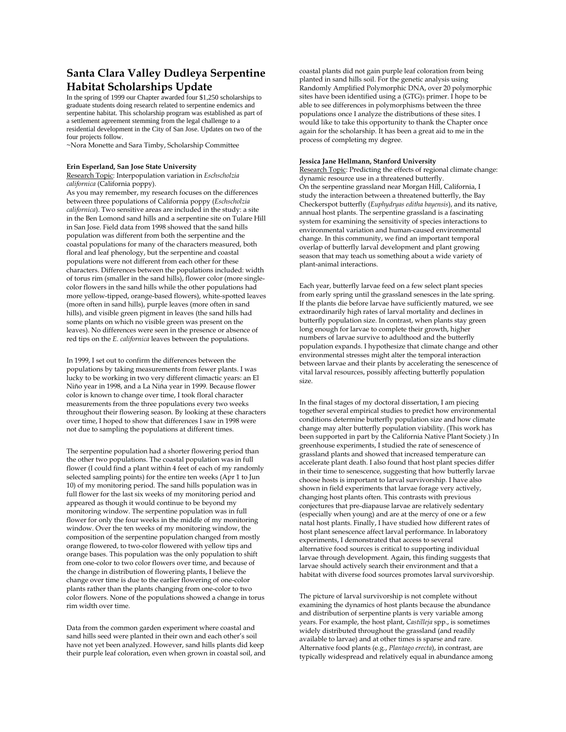### **Santa Clara Valley Dudleya Serpentine Habitat Scholarships Update**

In the spring of 1999 our Chapter awarded four \$1,250 scholarships to graduate students doing research related to serpentine endemics and serpentine habitat. This scholarship program was established as part of a settlement agreement stemming from the legal challenge to a residential development in the City of San Jose. Updates on two of the four projects follow.

~Nora Monette and Sara Timby, Scholarship Committee

#### **Erin Esperland, San Jose State University**

Research Topic: Interpopulation variation in *Eschscholzia californica* (California poppy).

As you may remember, my research focuses on the differences between three populations of California poppy (*Eschscholzia californica*). Two sensitive areas are included in the study: a site in the Ben Lomond sand hills and a serpentine site on Tulare Hill in San Jose. Field data from 1998 showed that the sand hills population was different from both the serpentine and the coastal populations for many of the characters measured, both floral and leaf phenology, but the serpentine and coastal populations were not different from each other for these characters. Differences between the populations included: width of torus rim (smaller in the sand hills), flower color (more singlecolor flowers in the sand hills while the other populations had more yellow-tipped, orange-based flowers), white-spotted leaves (more often in sand hills), purple leaves (more often in sand hills), and visible green pigment in leaves (the sand hills had some plants on which no visible green was present on the leaves). No differences were seen in the presence or absence of red tips on the *E. californica* leaves between the populations.

In 1999, I set out to confirm the differences between the populations by taking measurements from fewer plants. I was lucky to be working in two very different climactic years: an El Niño year in 1998, and a La Niña year in 1999. Because flower color is known to change over time, I took floral character measurements from the three populations every two weeks throughout their flowering season. By looking at these characters over time, I hoped to show that differences I saw in 1998 were not due to sampling the populations at different times.

The serpentine population had a shorter flowering period than the other two populations. The coastal population was in full flower (I could find a plant within 4 feet of each of my randomly selected sampling points) for the entire ten weeks (Apr 1 to Jun 10) of my monitoring period. The sand hills population was in full flower for the last six weeks of my monitoring period and appeared as though it would continue to be beyond my monitoring window. The serpentine population was in full flower for only the four weeks in the middle of my monitoring window. Over the ten weeks of my monitoring window, the composition of the serpentine population changed from mostly orange flowered, to two-color flowered with yellow tips and orange bases. This population was the only population to shift from one-color to two color flowers over time, and because of the change in distribution of flowering plants, I believe the change over time is due to the earlier flowering of one-color plants rather than the plants changing from one-color to two color flowers. None of the populations showed a change in torus rim width over time.

Data from the common garden experiment where coastal and sand hills seed were planted in their own and each other's soil have not yet been analyzed. However, sand hills plants did keep their purple leaf coloration, even when grown in coastal soil, and coastal plants did not gain purple leaf coloration from being planted in sand hills soil. For the genetic analysis using Randomly Amplified Polymorphic DNA, over 20 polymorphic sites have been identified using a (GTG)<sub>5</sub> primer. I hope to be able to see differences in polymorphisms between the three populations once I analyze the distributions of these sites. I would like to take this opportunity to thank the Chapter once again for the scholarship. It has been a great aid to me in the process of completing my degree.

#### **Jessica Jane Hellmann, Stanford University**

Research Topic: Predicting the effects of regional climate change: dynamic resource use in a threatened butterfly. On the serpentine grassland near Morgan Hill, California, I study the interaction between a threatened butterfly, the Bay Checkerspot butterfly (*Euphydryas editha bayensis*), and its native, annual host plants. The serpentine grassland is a fascinating system for examining the sensitivity of species interactions to environmental variation and human-caused environmental change. In this community, we find an important temporal overlap of butterfly larval development and plant growing season that may teach us something about a wide variety of plant-animal interactions.

Each year, butterfly larvae feed on a few select plant species from early spring until the grassland senesces in the late spring. If the plants die before larvae have sufficiently matured, we see extraordinarily high rates of larval mortality and declines in butterfly population size. In contrast, when plants stay green long enough for larvae to complete their growth, higher numbers of larvae survive to adulthood and the butterfly population expands. I hypothesize that climate change and other environmental stresses might alter the temporal interaction between larvae and their plants by accelerating the senescence of vital larval resources, possibly affecting butterfly population size.

In the final stages of my doctoral dissertation, I am piecing together several empirical studies to predict how environmental conditions determine butterfly population size and how climate change may alter butterfly population viability. (This work has been supported in part by the California Native Plant Society.) In greenhouse experiments, I studied the rate of senescence of grassland plants and showed that increased temperature can accelerate plant death. I also found that host plant species differ in their time to senescence, suggesting that how butterfly larvae choose hosts is important to larval survivorship. I have also shown in field experiments that larvae forage very actively, changing host plants often. This contrasts with previous conjectures that pre-diapause larvae are relatively sedentary (especially when young) and are at the mercy of one or a few natal host plants. Finally, I have studied how different rates of host plant senescence affect larval performance. In laboratory experiments, I demonstrated that access to several alternative food sources is critical to supporting individual larvae through development. Again, this finding suggests that larvae should actively search their environment and that a habitat with diverse food sources promotes larval survivorship.

The picture of larval survivorship is not complete without examining the dynamics of host plants because the abundance and distribution of serpentine plants is very variable among years. For example, the host plant, *Castilleja* spp., is sometimes widely distributed throughout the grassland (and readily available to larvae) and at other times is sparse and rare. Alternative food plants (e.g., *Plantago erecta*), in contrast, are typically widespread and relatively equal in abundance among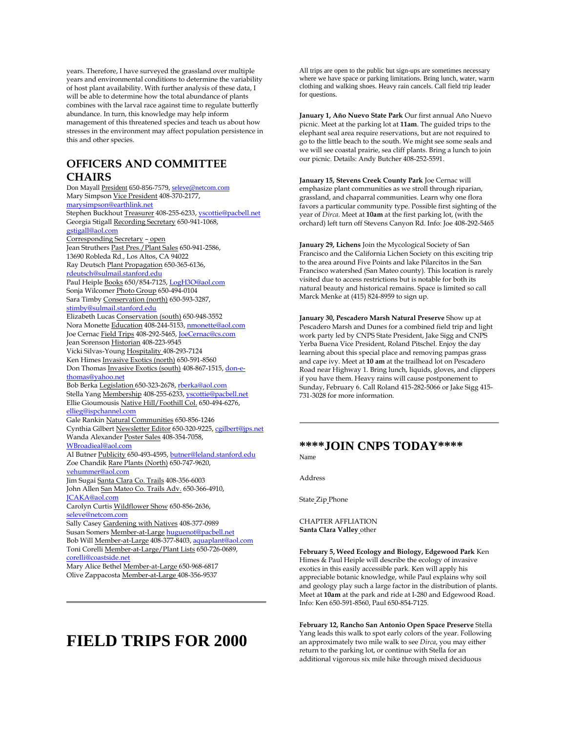years. Therefore, I have surveyed the grassland over multiple years and environmental conditions to determine the variability of host plant availability. With further analysis of these data, I will be able to determine how the total abundance of plants combines with the larval race against time to regulate butterfly abundance. In turn, this knowledge may help inform management of this threatened species and teach us about how stresses in the environment may affect population persistence in this and other species.

### **OFFICERS AND COMMITTEE CHAIRS**

Don Mayall President 650-856-7579[, seleve@netcom.com](mailto:seleve@netcom.com) Mary Simpson Vice President 408-370-2177, [marysimpson@earthlink.net](mailto:marysimpson@earthlink.net) Stephen Buckhout Treasurer 408-255-6233[, yscottie@pacbell.net](mailto:yscottie@pacbell.net) Georgia Stigall Recording Secretary 650-941-1068, [gstigall@aol.com](mailto:gstigall@aol.com) Corresponding Secretary – open Jean Struthers Past Pres./Plant Sales 650-941-2586, 13690 Robleda Rd., Los Altos, CA 94022 Ray Deutsch Plant Propagation 650-365-6136, [rdeutsch@sulmail.stanford.edu](mailto:rdeutsch@sulmail.stanford.edu) Paul Heiple Books 650/854-7125[, LogH3O@aol.com](mailto:LogH3O@aol.com) Sonja Wilcomer Photo Group 650-494-0104 Sara Timby Conservation (north) 650-593-3287, [stimby@sulmail.stanford.edu](mailto:stimby@sulmail.stanford.edu) Elizabeth Lucas Conservation (south) 650-948-3552 Nora Monette Education 408-244-5153[, nmonette@aol.com](mailto:nmonette@aol.com) Joe Cernac Field Trips 408-292-5465[, JoeCernac@cs.com](mailto:JoeCernac@cs.com) Jean Sorenson Historian 408-223-9545 Vicki Silvas-Young Hospitality 408-293-7124 Ken Himes Invasive Exotics (north) 650-591-8560 Don Thomas Invasive Exotics (south) 408-867-1515[, don-e](mailto:don-e-thomas@yahoo.net)[thomas@yahoo.net](mailto:don-e-thomas@yahoo.net) Bob Berka Legislation 650-323-2678[, rberka@aol.com](mailto:rberka@aol.com) Stella Yang Membership 408-255-6233[, yscottie@pacbell.net](mailto:yscottie@pacbell.net) Ellie Gioumousis Native Hill/Foothill Col. 650-494-6276, [ellieg@ispchannel.com](mailto:ellieg@ispchannel.com) Gale Rankin Natural Communities 650-856-1246 Cynthia Gilbert Newsletter Editor 650-320-9225[, cgilbert@jps.net](mailto:cgilbert@jps.net) Wanda Alexander Poster Sales 408-354-7058, [WBroadieal@aol.com](mailto:WBroadieal@aol.com) Al Butner Publicity 650-493-4595[, butner@leland.stanford.edu](mailto:butner@leland.stanford.edu) Zoe Chandik Rare Plants (North) 650-747-9620, [vehummer@aol.com](mailto:vehummer@aol.com) Jim Sugai Santa Clara Co. Trails 408-356-6003 John Allen San Mateo Co. Trails Adv. 650-366-4910, [JCAKA@aol.com](mailto:JCAKA@aol.com) Carolyn Curtis Wildflower Show 650-856-2636, [seleve@netcom.com](mailto:seleve@netcom.com) Sally Casey Gardening with Natives 408-377-0989 Susan Somers Member-at-Large [huguenot@pacbell.net](mailto:huguenot@pacbell.net) Bob Will Member-at-Large 408-377-8403[, aquaplant@aol.com](mailto:aquaplant@aol.com) Toni Corelli Member-at-Large/Plant Lists 650-726-0689, [corelli@coastside.net](mailto:corelli@coastside.net) Mary Alice Bethel Member-at-Large 650-968-6817 Olive Zappacosta Member-at-Large 408-356-9537

# **FIELD TRIPS FOR 2000**

All trips are open to the public but sign-ups are sometimes necessary where we have space or parking limitations. Bring lunch, water, warm clothing and walking shoes. Heavy rain cancels. Call field trip leader for questions.

**January 1, Año Nuevo State Park** Our first annual Año Nuevo picnic. Meet at the parking lot at **11am**. The guided trips to the elephant seal area require reservations, but are not required to go to the little beach to the south. We might see some seals and we will see coastal prairie, sea cliff plants. Bring a lunch to join our picnic. Details: Andy Butcher 408-252-5591.

**January 15, Stevens Creek County Park** Joe Cernac will emphasize plant communities as we stroll through riparian, grassland, and chaparral communities. Learn why one flora favors a particular community type. Possible first sighting of the year of *Dirca*. Meet at **10am** at the first parking lot, (with the orchard) left turn off Stevens Canyon Rd. Info: Joe 408-292-5465

**January 29, Lichens** Join the Mycological Society of San Francisco and the California Lichen Society on this exciting trip to the area around Five Points and lake Pilarcitos in the San Francisco watershed (San Mateo county). This location is rarely visited due to access restrictions but is notable for both its natural beauty and historical remains. Space is limited so call Marck Menke at (415) 824-8959 to sign up.

**January 30, Pescadero Marsh Natural Preserve** Show up at Pescadero Marsh and Dunes for a combined field trip and light work party led by CNPS State President, Jake Sigg and CNPS Yerba Buena Vice President, Roland Pitschel. Enjoy the day learning about this special place and removing pampas grass and cape ivy. Meet at **10 am** at the trailhead lot on Pescadero Road near Highway 1. Bring lunch, liquids, gloves, and clippers if you have them. Heavy rains will cause postponement to Sunday, February 6. Call Roland 415-282-5066 or Jake Sigg 415- 731-3028 for more information.

#### **\*\*\*\*JOIN CNPS TODAY\*\*\*\*** Name

Address

State Zip Phone

CHAPTER AFFLIATION **Santa Clara Valley** other

**February 5, Weed Ecology and Biology, Edgewood Park** Ken Himes & Paul Heiple will describe the ecology of invasive exotics in this easily accessible park. Ken will apply his appreciable botanic knowledge, while Paul explains why soil and geology play such a large factor in the distribution of plants. Meet at **10am** at the park and ride at I-280 and Edgewood Road. Info: Ken 650-591-8560, Paul 650-854-7125.

**February 12, Rancho San Antonio Open Space Preserve** Stella Yang leads this walk to spot early colors of the year. Following an approximately two mile walk to see *Dirca*, you may either return to the parking lot, or continue with Stella for an additional vigorous six mile hike through mixed deciduous